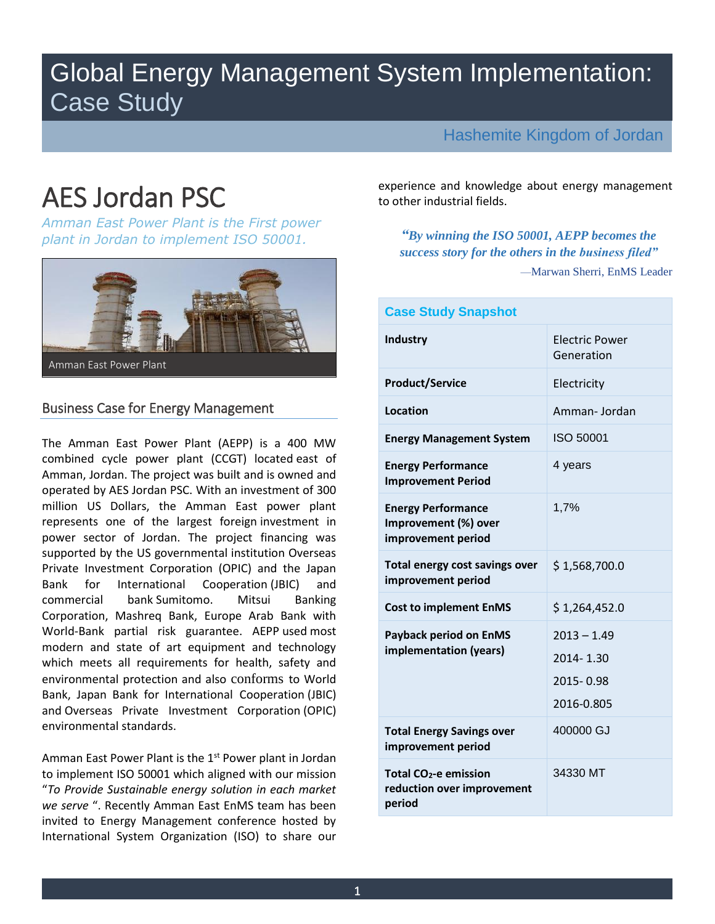# Global Energy Management System Implementation: Case Study

Hashemite Kingdom of Jordan

 *Amman East Power Plant is the First power "By winning the ISO 50001, AEPP becomes the plant in Jordan to implement ISO 50001.* 



Amman East Power Plant

# Business Case for Energy Management

 The Amman East Power Plant (AEPP) is a 400 MW combined cycle power plant (CCGT) located east of Amman, Jordan. The project was built and is owned and operated by AES Jordan PSC. With an investment of 300 million US Dollars, the Amman East power plant represents one of the largest foreign investment in power sector of Jordan. The project financing was supported by the US governmental institution Overseas Private Investment Corporation (OPIC) and the Japan Mitsui Corporation, Mashreq Bank, Europe Arab Bank with World-Bank partial risk guarantee. AEPP used most modern and state of art equipment and technology which meets all requirements for health, safety and environmental protection and also conforms to World Bank, Japan Bank for International Cooperation (JBIC) and Overseas Private Investment Corporation (OPIC) Bank for International Cooperation (JBIC) and commercial bank Sumitomo. Mitsui Banking environmental standards.

 to implement ISO 50001 which aligned with our mission  "*To Provide Sustainable energy solution in each market*  invited to Energy Management conference hosted by International System Organization (ISO) to share our Amman East Power Plant is the 1<sup>st</sup> Power plant in Jordan *we serve* ". Recently Amman East EnMS team has been

AES Jordan PSC experience and knowledge about energy management to other industrial fields. experience and knowledge about energy management

> *success story for the others in the business filed"*  —Marwan Sherri, EnMS Leader

| <b>Case Study Snapshot</b>                                                |                                                       |  |
|---------------------------------------------------------------------------|-------------------------------------------------------|--|
| <b>Industry</b>                                                           | <b>Electric Power</b><br>Generation                   |  |
| <b>Product/Service</b>                                                    | Electricity                                           |  |
| Location                                                                  | Amman-Jordan                                          |  |
| <b>Energy Management System</b>                                           | ISO 50001                                             |  |
| <b>Energy Performance</b><br><b>Improvement Period</b>                    | 4 years                                               |  |
| <b>Energy Performance</b><br>Improvement (%) over<br>improvement period   | 1,7%                                                  |  |
| Total energy cost savings over<br>improvement period                      | \$1,568,700.0                                         |  |
| <b>Cost to implement EnMS</b>                                             | \$1,264,452.0                                         |  |
| <b>Payback period on EnMS</b><br>implementation (years)                   | $2013 - 1.49$<br>2014-1.30<br>2015-0.98<br>2016-0.805 |  |
| <b>Total Energy Savings over</b><br>improvement period                    | 400000 GJ                                             |  |
| Total CO <sub>2</sub> -e emission<br>reduction over improvement<br>period | 34330 MT                                              |  |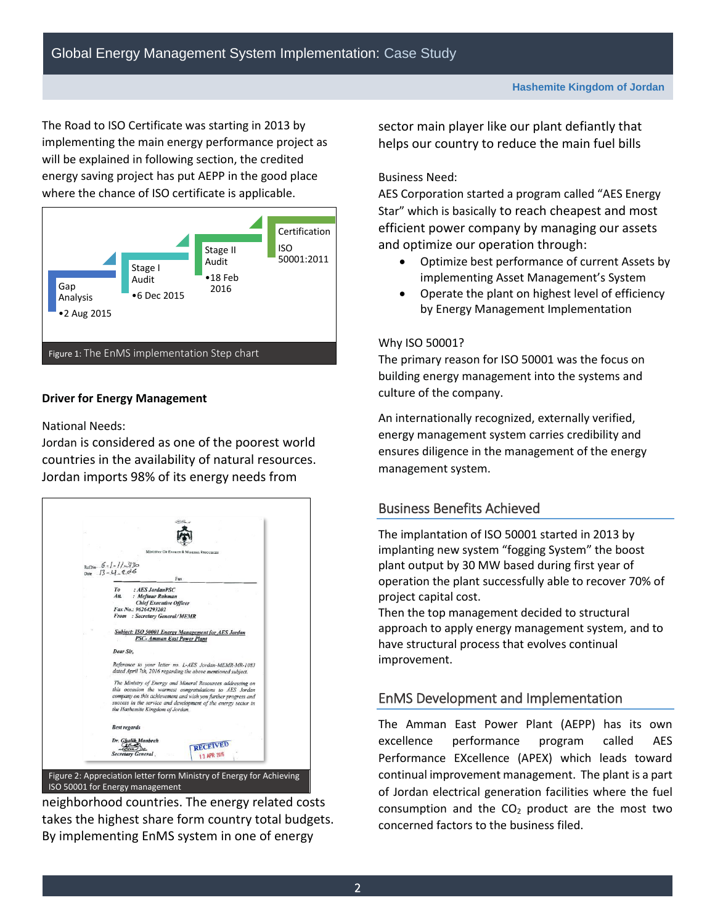The Road to ISO Certificate was starting in 2013 by implementing the main energy performance project as will be explained in following section, the credited energy saving project has put AEPP in the good place where the chance of ISO certificate is applicable.



# **Driver for Energy Management**

National Needs:

 Jordan is considered as one of the poorest world countries in the availability of natural resources. Jordan imports 98% of its energy needs from



 neighborhood countries. The energy related costs takes the highest share form country total budgets. By implementing EnMS system in one of energy

 sector main player like our plant defiantly that helps our country to reduce the main fuel bills

## Business Need:

AES Corporation started a program called "AES Energy Star" which is basically to reach cheapest and most efficient power company by managing our assets and optimize our operation through:

- Optimize best performance of current Assets by implementing Asset Management's System
- Operate the plant on highest level of efficiency by Energy Management Implementation

# Why ISO 50001?

The primary reason for ISO 50001 was the focus on building energy management into the systems and culture of the company.

 energy management system carries credibility and An internationally recognized, externally verified, ensures diligence in the management of the energy management system.

# Business Benefits Achieved

 The implantation of ISO 50001 started in 2013 by plant output by 30 MW based during first year of implanting new system "fogging System" the boost operation the plant successfully able to recover 70% of project capital cost.

 approach to apply energy management system, and to Then the top management decided to structural have structural process that evolves continual improvement.

# EnMS Development and Implementation

 The Amman East Power Plant (AEPP) has its own excellence performance program called AES Performance EXcellence (APEX) which leads toward continual improvement management. The plant is a part consumption and the  $CO<sub>2</sub>$  product are the most two of Jordan electrical generation facilities where the fuel concerned factors to the business filed.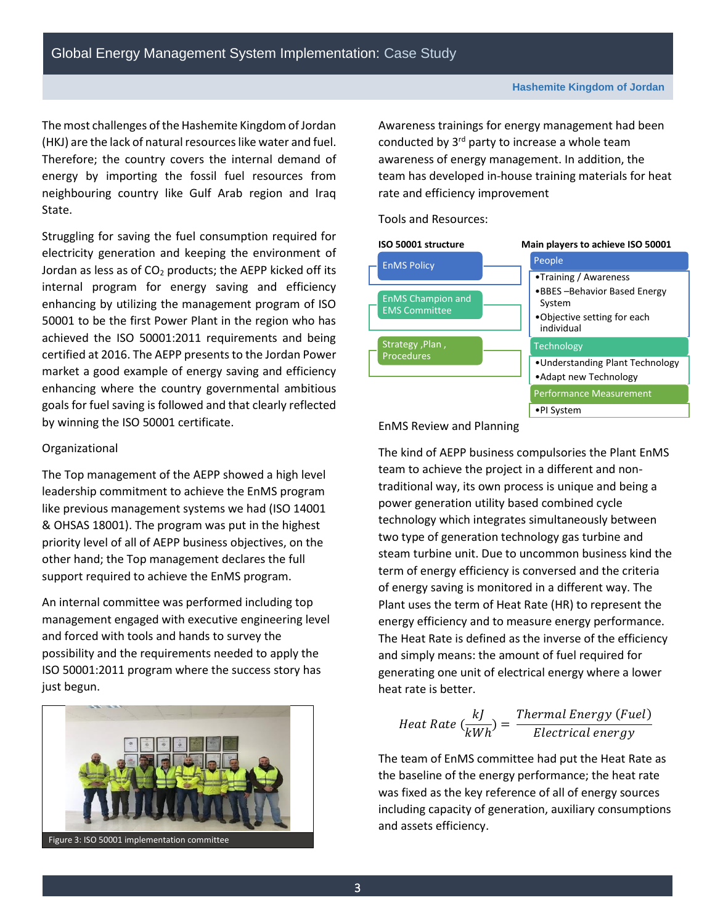The most challenges of the Hashemite Kingdom of Jordan Therefore; the country covers the internal demand of energy by importing the fossil fuel resources from neighbouring country like Gulf Arab region and Iraq (HKJ) are the lack of natural resources like water and fuel. State.

 Struggling for saving the fuel consumption required for Jordan as less as of CO<sub>2</sub> products; the AEPP kicked off its internal program for energy saving and efficiency enhancing by utilizing the management program of ISO 50001 to be the first Power Plant in the region who has achieved the ISO 50001:2011 requirements and being certified at 2016. The AEPP presents to the Jordan Power market a good example of energy saving and efficiency goals for fuel saving is followed and that clearly reflected enhancing where the country governmental ambitious by winning the ISO 50001 certificate.

#### Organizational

 & OHSAS 18001). The program was put in the highest priority level of all of AEPP business objectives, on the The Top management of the AEPP showed a high level leadership commitment to achieve the EnMS program like previous management systems we had (ISO 14001 other hand; the Top management declares the full support required to achieve the EnMS program.

An internal committee was performed including top management engaged with executive engineering level and forced with tools and hands to survey the possibility and the requirements needed to apply the ISO 50001:2011 program where the success story has just begun.



conducted by 3<sup>rd</sup> party to increase a whole team awareness of energy management. In addition, the Awareness trainings for energy management had been team has developed in-house training materials for heat rate and efficiency improvement

Tools and Resources:



EnMS Review and Planning

 Plant uses the term of Heat Rate (HR) to represent the The kind of AEPP business compulsories the Plant EnMS team to achieve the project in a different and nontraditional way, its own process is unique and being a power generation utility based combined cycle technology which integrates simultaneously between two type of generation technology gas turbine and steam turbine unit. Due to uncommon business kind the term of energy efficiency is conversed and the criteria of energy saving is monitored in a different way. The energy efficiency and to measure energy performance. The Heat Rate is defined as the inverse of the efficiency and simply means: the amount of fuel required for generating one unit of electrical energy where a lower heat rate is better.

$$
Heat Rate\left(\frac{kJ}{kWh}\right) = \frac{Thermal Energy\left(Fuel\right)}{Electrical energy}
$$

The team of EnMS committee had put the Heat Rate as the baseline of the energy performance; the heat rate was fixed as the key reference of all of energy sources including capacity of generation, auxiliary consumptions and assets efficiency.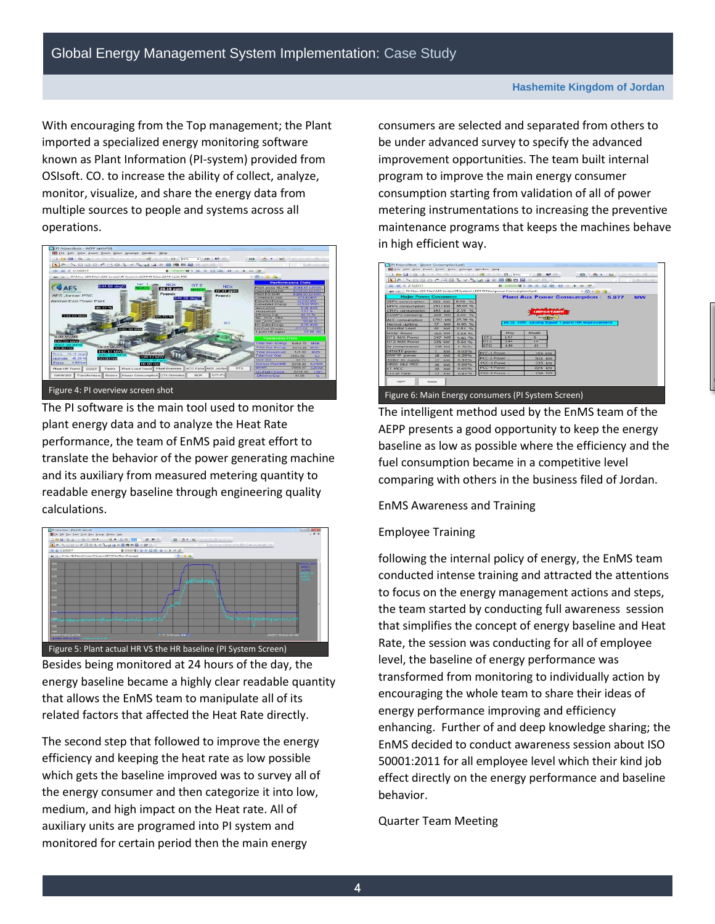With encouraging from the Top management; the Plant OSIsoft. CO. to increase the ability of collect, analyze, imported a specialized energy monitoring software known as Plant Information (PI-system) provided from monitor, visualize, and share the energy data from multiple sources to people and systems across all operations.



The PI software is the main tool used to monitor the plant energy data and to analyze the Heat Rate performance, the team of EnMS paid great effort to translate the behavior of the power generating machine and its auxiliary from measured metering quantity to readable energy baseline through engineering quality calculations.



 that allows the EnMS team to manipulate all of its Besides being monitored at 24 hours of the day, the energy baseline became a highly clear readable quantity related factors that affected the Heat Rate directly.

 monitored for certain period then the main energy The second step that followed to improve the energy efficiency and keeping the heat rate as low possible which gets the baseline improved was to survey all of the energy consumer and then categorize it into low, medium, and high impact on the Heat rate. All of auxiliary units are programed into PI system and

 consumers are selected and separated from others to be under advanced survey to specify the advanced improvement opportunities. The team built internal program to improve the main energy consumer consumption starting from validation of all of power metering instrumentations to increasing the preventive maintenance programs that keeps the machines behave in high efficient way.



 comparing with others in the business filed of Jordan. The intelligent method used by the EnMS team of the AEPP presents a good opportunity to keep the energy baseline as low as possible where the efficiency and the fuel consumption became in a competitive level

### EnMS Awareness and Training

# **Employee Training**

 that simplifies the concept of energy baseline and Heat enhancing. Further of and deep knowledge sharing; the following the internal policy of energy, the EnMS team conducted intense training and attracted the attentions to focus on the energy management actions and steps, the team started by conducting full awareness session Rate, the session was conducting for all of employee level, the baseline of energy performance was transformed from monitoring to individually action by encouraging the whole team to share their ideas of energy performance improving and efficiency EnMS decided to conduct awareness session about ISO 50001:2011 for all employee level which their kind job effect directly on the energy performance and baseline behavior.

Quarter Team Meeting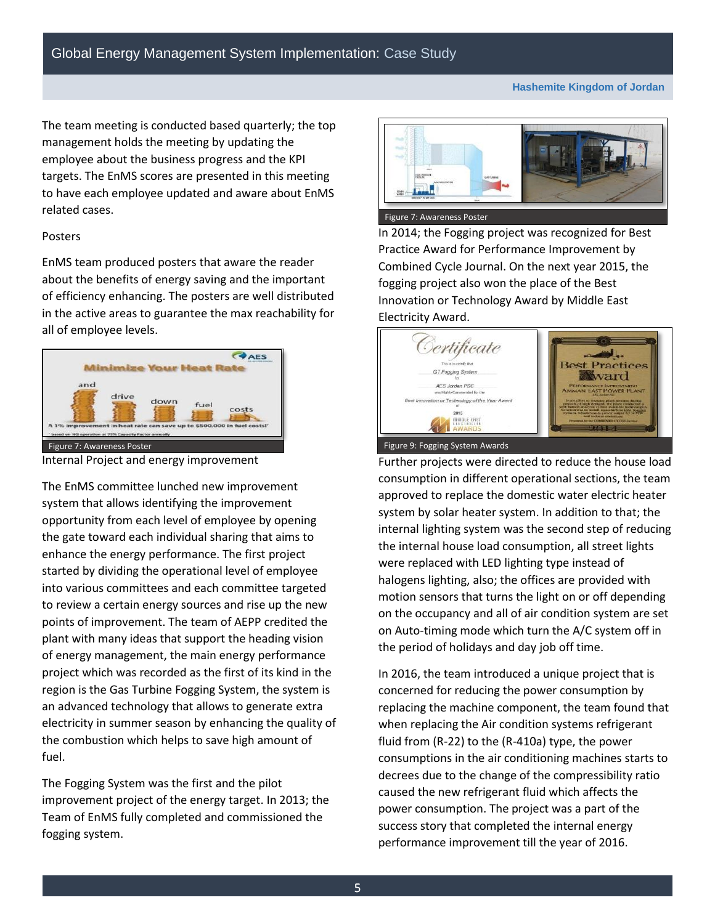**Hashemite Kingdom of Jordan** 

 The team meeting is conducted based quarterly; the top management holds the meeting by updating the employee about the business progress and the KPI targets. The EnMS scores are presented in this meeting to have each employee updated and aware about EnMS related cases.

#### Posters

EnMS team produced posters that aware the reader about the benefits of energy saving and the important of efficiency enhancing. The posters are well distributed in the active areas to guarantee the max reachability for all of employee levels.



Internal Project and energy improvement

 opportunity from each level of employee by opening the gate toward each individual sharing that aims to into various committees and each committee targeted points of improvement. The team of AEPP credited the fuel. The EnMS committee lunched new improvement system that allows identifying the improvement enhance the energy performance. The first project started by dividing the operational level of employee to review a certain energy sources and rise up the new plant with many ideas that support the heading vision of energy management, the main energy performance project which was recorded as the first of its kind in the region is the Gas Turbine Fogging System, the system is an advanced technology that allows to generate extra electricity in summer season by enhancing the quality of the combustion which helps to save high amount of

 fogging system. The Fogging System was the first and the pilot improvement project of the energy target. In 2013; the Team of EnMS fully completed and commissioned the



 fogging project also won the place of the Best Electricity Award. In 2014; the Fogging project was recognized for Best Practice Award for Performance Improvement by Combined Cycle Journal. On the next year 2015, the Innovation or Technology Award by Middle East



 system by solar heater system. In addition to that; the Further projects were directed to reduce the house load consumption in different operational sections, the team approved to replace the domestic water electric heater internal lighting system was the second step of reducing the internal house load consumption, all street lights were replaced with LED lighting type instead of halogens lighting, also; the offices are provided with motion sensors that turns the light on or off depending on the occupancy and all of air condition system are set on Auto-timing mode which turn the A/C system off in the period of holidays and day job off time.

 decrees due to the change of the compressibility ratio In 2016, the team introduced a unique project that is concerned for reducing the power consumption by replacing the machine component, the team found that when replacing the Air condition systems refrigerant fluid from (R-22) to the (R-410a) type, the power consumptions in the air conditioning machines starts to caused the new refrigerant fluid which affects the power consumption. The project was a part of the success story that completed the internal energy performance improvement till the year of 2016.